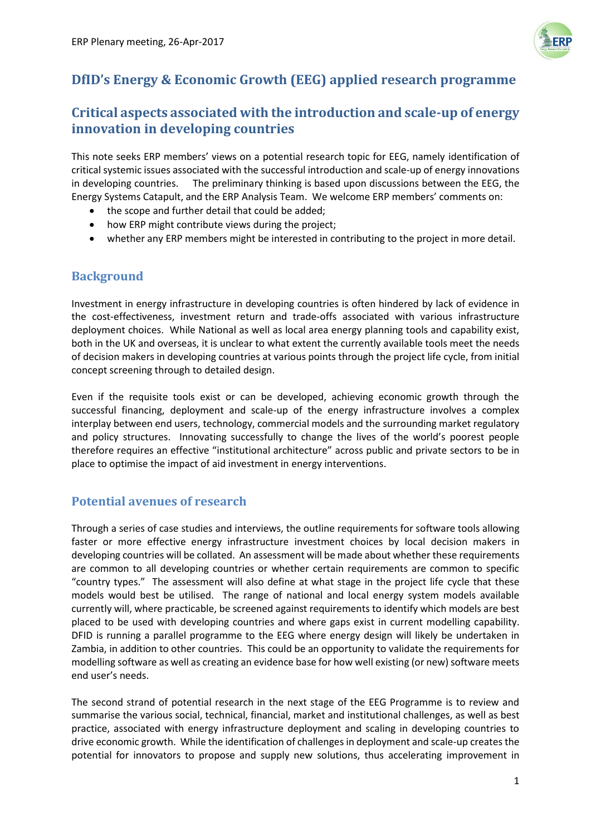

## **DfID's Energy & Economic Growth (EEG) applied research programme**

## **Critical aspects associated with the introduction and scale-up of energy innovation in developing countries**

This note seeks ERP members' views on a potential research topic for EEG, namely identification of critical systemic issues associated with the successful introduction and scale-up of energy innovations in developing countries. The preliminary thinking is based upon discussions between the EEG, the Energy Systems Catapult, and the ERP Analysis Team. We welcome ERP members' comments on:

- the scope and further detail that could be added;
- how ERP might contribute views during the project;
- whether any ERP members might be interested in contributing to the project in more detail.

## **Background**

Investment in energy infrastructure in developing countries is often hindered by lack of evidence in the cost-effectiveness, investment return and trade-offs associated with various infrastructure deployment choices. While National as well as local area energy planning tools and capability exist, both in the UK and overseas, it is unclear to what extent the currently available tools meet the needs of decision makers in developing countries at various points through the project life cycle, from initial concept screening through to detailed design.

Even if the requisite tools exist or can be developed, achieving economic growth through the successful financing, deployment and scale-up of the energy infrastructure involves a complex interplay between end users, technology, commercial models and the surrounding market regulatory and policy structures. Innovating successfully to change the lives of the world's poorest people therefore requires an effective "institutional architecture" across public and private sectors to be in place to optimise the impact of aid investment in energy interventions.

## **Potential avenues of research**

Through a series of case studies and interviews, the outline requirements for software tools allowing faster or more effective energy infrastructure investment choices by local decision makers in developing countries will be collated. An assessment will be made about whether these requirements are common to all developing countries or whether certain requirements are common to specific "country types." The assessment will also define at what stage in the project life cycle that these models would best be utilised. The range of national and local energy system models available currently will, where practicable, be screened against requirements to identify which models are best placed to be used with developing countries and where gaps exist in current modelling capability. DFID is running a parallel programme to the EEG where energy design will likely be undertaken in Zambia, in addition to other countries. This could be an opportunity to validate the requirements for modelling software as well as creating an evidence base for how well existing (or new) software meets end user's needs.

The second strand of potential research in the next stage of the EEG Programme is to review and summarise the various social, technical, financial, market and institutional challenges, as well as best practice, associated with energy infrastructure deployment and scaling in developing countries to drive economic growth. While the identification of challenges in deployment and scale-up creates the potential for innovators to propose and supply new solutions, thus accelerating improvement in